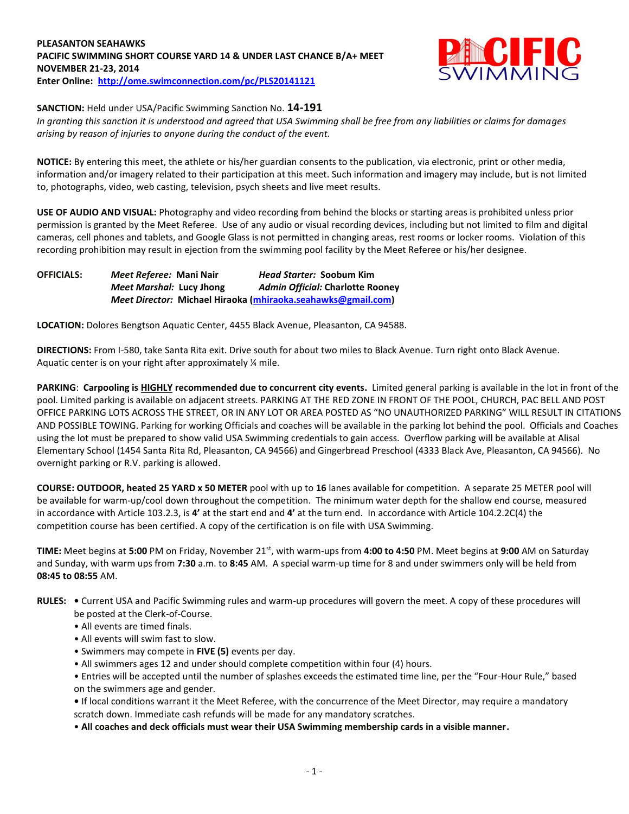#### **PLEASANTON SEAHAWKS PACIFIC SWIMMING SHORT COURSE YARD 14 & UNDER LAST CHANCE B/A+ MEET NOVEMBER 21-23, 2014 Enter Online: <http://ome.swimconnection.com/pc/PLS20141121>**



**SANCTION:** Held under USA/Pacific Swimming Sanction No. **14-191**

*In granting this sanction it is understood and agreed that USA Swimming shall be free from any liabilities or claims for damages arising by reason of injuries to anyone during the conduct of the event.*

**NOTICE:** By entering this meet, the athlete or his/her guardian consents to the publication, via electronic, print or other media, information and/or imagery related to their participation at this meet. Such information and imagery may include, but is not limited to, photographs, video, web casting, television, psych sheets and live meet results.

**USE OF AUDIO AND VISUAL:** Photography and video recording from behind the blocks or starting areas is prohibited unless prior permission is granted by the Meet Referee. Use of any audio or visual recording devices, including but not limited to film and digital cameras, cell phones and tablets, and Google Glass is not permitted in changing areas, rest rooms or locker rooms. Violation of this recording prohibition may result in ejection from the swimming pool facility by the Meet Referee or his/her designee.

**OFFICIALS:** *Meet Referee:* **Mani Nair** *Head Starter:* **Soobum Kim** *Meet Marshal:* **Lucy Jhong** *Admin Official:* **Charlotte Rooney** *Meet Director:* **Michael Hiraoka [\(mhiraoka.seahawks@gmail.com\)](mailto:mhiraoka.seahawks@gmail.com)**

**LOCATION:** Dolores Bengtson Aquatic Center, 4455 Black Avenue, Pleasanton, CA 94588.

**DIRECTIONS:** From I-580, take Santa Rita exit. Drive south for about two miles to Black Avenue. Turn right onto Black Avenue. Aquatic center is on your right after approximately ¼ mile.

**PARKING**: **Carpooling is HIGHLY recommended due to concurrent city events.** Limited general parking is available in the lot in front of the pool. Limited parking is available on adjacent streets. PARKING AT THE RED ZONE IN FRONT OF THE POOL, CHURCH, PAC BELL AND POST OFFICE PARKING LOTS ACROSS THE STREET, OR IN ANY LOT OR AREA POSTED AS "NO UNAUTHORIZED PARKING" WILL RESULT IN CITATIONS AND POSSIBLE TOWING. Parking for working Officials and coaches will be available in the parking lot behind the pool. Officials and Coaches using the lot must be prepared to show valid USA Swimming credentials to gain access. Overflow parking will be available at Alisal Elementary School (1454 Santa Rita Rd, Pleasanton, CA 94566) and Gingerbread Preschool (4333 Black Ave, Pleasanton, CA 94566). No overnight parking or R.V. parking is allowed.

**COURSE: OUTDOOR, heated 25 YARD x 50 METER** pool with up to **16** lanes available for competition.A separate 25 METER pool will be available for warm-up/cool down throughout the competition. The minimum water depth for the shallow end course, measured in accordance with Article 103.2.3, is **4'** at the start end and **4'** at the turn end. In accordance with Article 104.2.2C(4) the competition course has been certified. A copy of the certification is on file with USA Swimming.

**TIME:** Meet begins at **5:00** PM on Friday, November 21st, with warm-ups from **4:00 to 4:50** PM. Meet begins at **9:00** AM on Saturday and Sunday, with warm ups from **7:30** a.m. to **8:45** AM. A special warm-up time for 8 and under swimmers only will be held from **08:45 to 08:55** AM.

- **RULES:** Current USA and Pacific Swimming rules and warm-up procedures will govern the meet. A copy of these procedures will be posted at the Clerk-of-Course.
	- All events are timed finals.
	- All events will swim fast to slow.
	- Swimmers may compete in **FIVE (5)** events per day.
	- All swimmers ages 12 and under should complete competition within four (4) hours.

• Entries will be accepted until the number of splashes exceeds the estimated time line, per the "Four-Hour Rule," based on the swimmers age and gender.

**•** If local conditions warrant it the Meet Referee, with the concurrence of the Meet Director, may require a mandatory scratch down. Immediate cash refunds will be made for any mandatory scratches.

• **All coaches and deck officials must wear their USA Swimming membership cards in a visible manner.**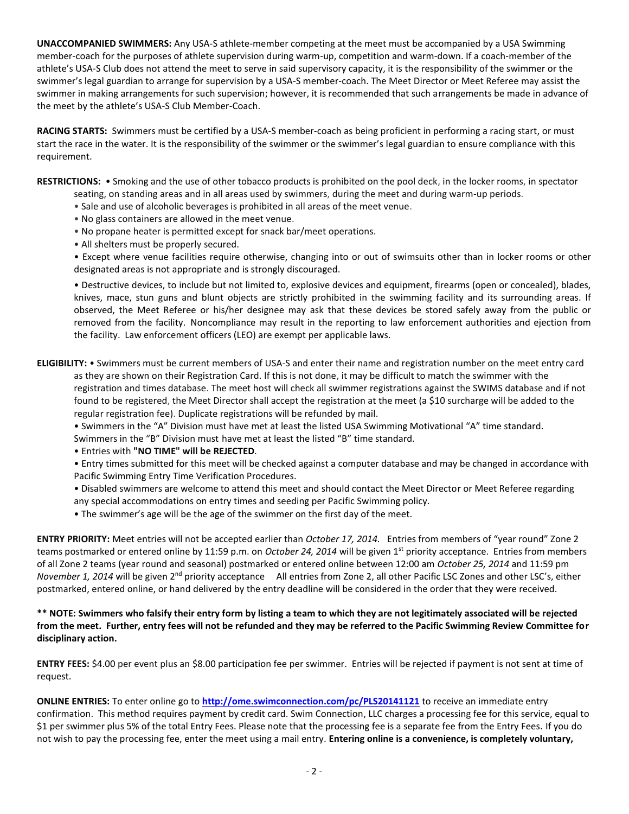**UNACCOMPANIED SWIMMERS:** Any USA-S athlete-member competing at the meet must be accompanied by a USA Swimming member-coach for the purposes of athlete supervision during warm-up, competition and warm-down. If a coach-member of the athlete's USA-S Club does not attend the meet to serve in said supervisory capacity, it is the responsibility of the swimmer or the swimmer's legal guardian to arrange for supervision by a USA-S member-coach. The Meet Director or Meet Referee may assist the swimmer in making arrangements for such supervision; however, it is recommended that such arrangements be made in advance of the meet by the athlete's USA-S Club Member-Coach.

**RACING STARTS:** Swimmers must be certified by a USA-S member-coach as being proficient in performing a racing start, or must start the race in the water. It is the responsibility of the swimmer or the swimmer's legal guardian to ensure compliance with this requirement.

**RESTRICTIONS:** • Smoking and the use of other tobacco products is prohibited on the pool deck, in the locker rooms, in spectator seating, on standing areas and in all areas used by swimmers, during the meet and during warm-up periods.

- Sale and use of alcoholic beverages is prohibited in all areas of the meet venue.
- No glass containers are allowed in the meet venue.
- No propane heater is permitted except for snack bar/meet operations.
- All shelters must be properly secured.
- Except where venue facilities require otherwise, changing into or out of swimsuits other than in locker rooms or other designated areas is not appropriate and is strongly discouraged.

• Destructive devices, to include but not limited to, explosive devices and equipment, firearms (open or concealed), blades, knives, mace, stun guns and blunt objects are strictly prohibited in the swimming facility and its surrounding areas. If observed, the Meet Referee or his/her designee may ask that these devices be stored safely away from the public or removed from the facility. Noncompliance may result in the reporting to law enforcement authorities and ejection from the facility. Law enforcement officers (LEO) are exempt per applicable laws.

### **ELIGIBILITY:** • Swimmers must be current members of USA-S and enter their name and registration number on the meet entry card as they are shown on their Registration Card. If this is not done, it may be difficult to match the swimmer with the registration and times database. The meet host will check all swimmer registrations against the SWIMS database and if not found to be registered, the Meet Director shall accept the registration at the meet (a \$10 surcharge will be added to the regular registration fee). Duplicate registrations will be refunded by mail.

• Swimmers in the "A" Division must have met at least the listed USA Swimming Motivational "A" time standard.

Swimmers in the "B" Division must have met at least the listed "B" time standard.

• Entries with **"NO TIME" will be REJECTED**.

• Entry times submitted for this meet will be checked against a computer database and may be changed in accordance with Pacific Swimming Entry Time Verification Procedures.

- Disabled swimmers are welcome to attend this meet and should contact the Meet Director or Meet Referee regarding any special accommodations on entry times and seeding per Pacific Swimming policy.
- The swimmer's age will be the age of the swimmer on the first day of the meet.

**ENTRY PRIORITY:** Meet entries will not be accepted earlier than *October 17, 2014.* Entries from members of "year round" Zone 2 teams postmarked or entered online by 11:59 p.m. on *October 24, 2014* will be given 1<sup>st</sup> priority acceptance. Entries from members of all Zone 2 teams (year round and seasonal) postmarked or entered online between 12:00 am *October 25, 2014* and 11:59 pm *November 1, 2014* will be given 2<sup>nd</sup> priority acceptance All entries from Zone 2, all other Pacific LSC Zones and other LSC's, either postmarked, entered online, or hand delivered by the entry deadline will be considered in the order that they were received.

## **\*\* NOTE: Swimmers who falsify their entry form by listing a team to which they are not legitimately associated will be rejected from the meet. Further, entry fees will not be refunded and they may be referred to the Pacific Swimming Review Committee for disciplinary action.**

**ENTRY FEES:** \$4.00 per event plus an \$8.00 participation fee per swimmer. Entries will be rejected if payment is not sent at time of request.

**ONLINE ENTRIES:** To enter online go to **<http://ome.swimconnection.com/pc/PLS20141121>** to receive an immediate entry confirmation. This method requires payment by credit card. Swim Connection, LLC charges a processing fee for this service, equal to \$1 per swimmer plus 5% of the total Entry Fees. Please note that the processing fee is a separate fee from the Entry Fees. If you do not wish to pay the processing fee, enter the meet using a mail entry. **Entering online is a convenience, is completely voluntary,**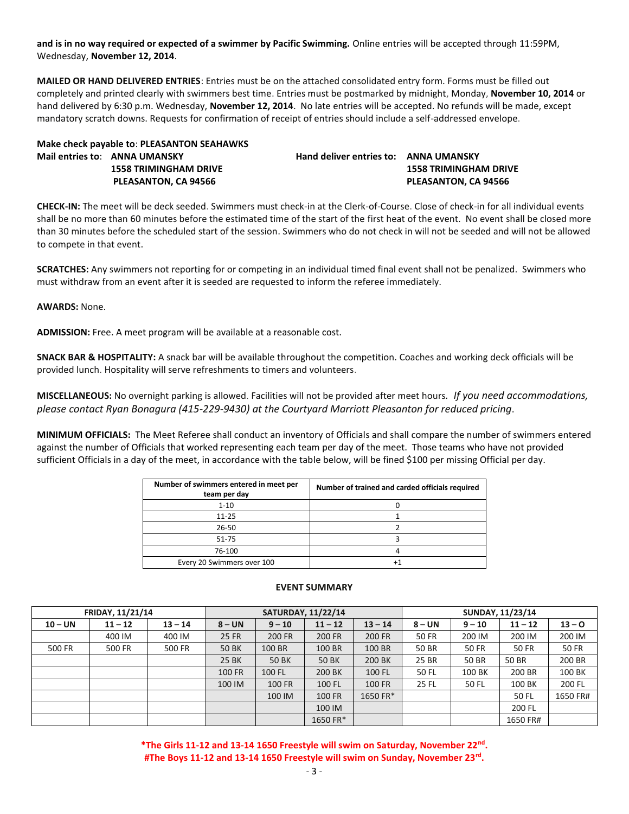**and is in no way required or expected of a swimmer by Pacific Swimming.** Online entries will be accepted through 11:59PM, Wednesday, **November 12, 2014**.

**MAILED OR HAND DELIVERED ENTRIES**: Entries must be on the attached consolidated entry form. Forms must be filled out completely and printed clearly with swimmers best time. Entries must be postmarked by midnight, Monday, **November 10, 2014** or hand delivered by 6:30 p.m. Wednesday, **November 12, 2014**. No late entries will be accepted. No refunds will be made, except mandatory scratch downs. Requests for confirmation of receipt of entries should include a self-addressed envelope.

| Make check payable to: PLEASANTON SEAHAWKS |                               |  |  |  |  |  |  |  |  |
|--------------------------------------------|-------------------------------|--|--|--|--|--|--|--|--|
|                                            | Mail entries to: ANNA UMANSKY |  |  |  |  |  |  |  |  |
|                                            | <b>1558 TRIMINGHAM DRIVE</b>  |  |  |  |  |  |  |  |  |
|                                            | <b>PLEASANTON, CA 94566</b>   |  |  |  |  |  |  |  |  |

**Mail entries to**: **ANNA UMANSKY Hand deliver entries to: ANNA UMANSKY 1558 TRIMINGHAM DRIVE 1558 TRIMINGHAM DRIVE PLEASANTON, CA 94566** 

**CHECK-IN:** The meet will be deck seeded. Swimmers must check-in at the Clerk-of-Course. Close of check-in for all individual events shall be no more than 60 minutes before the estimated time of the start of the first heat of the event. No event shall be closed more than 30 minutes before the scheduled start of the session. Swimmers who do not check in will not be seeded and will not be allowed to compete in that event.

**SCRATCHES:** Any swimmers not reporting for or competing in an individual timed final event shall not be penalized. Swimmers who must withdraw from an event after it is seeded are requested to inform the referee immediately.

**AWARDS:** None.

**ADMISSION:** Free. A meet program will be available at a reasonable cost.

**SNACK BAR & HOSPITALITY:** A snack bar will be available throughout the competition. Coaches and working deck officials will be provided lunch. Hospitality will serve refreshments to timers and volunteers.

**MISCELLANEOUS:** No overnight parking is allowed. Facilities will not be provided after meet hours*. If you need accommodations, please contact Ryan Bonagura (415-229-9430) at the Courtyard Marriott Pleasanton for reduced pricing*.

**MINIMUM OFFICIALS:** The Meet Referee shall conduct an inventory of Officials and shall compare the number of swimmers entered against the number of Officials that worked representing each team per day of the meet. Those teams who have not provided sufficient Officials in a day of the meet, in accordance with the table below, will be fined \$100 per missing Official per day.

| Number of swimmers entered in meet per<br>team per day | Number of trained and carded officials required |
|--------------------------------------------------------|-------------------------------------------------|
| $1 - 10$                                               |                                                 |
| $11 - 25$                                              |                                                 |
| 26-50                                                  |                                                 |
| 51-75                                                  |                                                 |
| 76-100                                                 |                                                 |
| Every 20 Swimmers over 100                             |                                                 |
|                                                        |                                                 |

|           | <b>FRIDAY, 11/21/14</b> |           | <b>SATURDAY, 11/22/14</b> |               |           |               | <b>SUNDAY, 11/23/14</b> |          |           |          |  |
|-----------|-------------------------|-----------|---------------------------|---------------|-----------|---------------|-------------------------|----------|-----------|----------|--|
| $10 - UN$ | $11 - 12$               | $13 - 14$ | $8 - UN$                  | $9 - 10$      | $11 - 12$ | $13 - 14$     | $8 - UN$                | $9 - 10$ | $11 - 12$ | $13 - 0$ |  |
|           | 400 IM                  | 400 IM    | 25 FR                     | 200 FR        | 200 FR    | <b>200 FR</b> | <b>50 FR</b>            | 200 IM   | 200 IM    | 200 IM   |  |
| 500 FR    | 500 FR                  | 500 FR    | 50 BK                     | 100 BR        | 100 BR    | 100 BR        | 50 BR                   | 50 FR    | 50 FR     | 50 FR    |  |
|           |                         |           | 25 BK                     | 50 BK         | 50 BK     | 200 BK        | 25 BR                   | 50 BR    | 50 BR     | 200 BR   |  |
|           |                         |           | <b>100 FR</b>             | 100 FL        | 200 BK    | 100 FL        | 50 FL                   | 100 BK   | 200 BR    | 100 BK   |  |
|           |                         |           | 100 IM                    | <b>100 FR</b> | 100 FL    | <b>100 FR</b> | <b>25 FL</b>            | 50 FL    | 100 BK    | 200 FL   |  |
|           |                         |           |                           | 100 IM        | 100 FR    | 1650 FR*      |                         |          | 50 FL     | 1650 FR# |  |
|           |                         |           |                           |               | 100 IM    |               |                         |          | 200 FL    |          |  |
|           |                         |           |                           |               | 1650 FR*  |               |                         |          | 1650 FR#  |          |  |

#### **EVENT SUMMARY**

**\*The Girls 11-12 and 13-14 1650 Freestyle will swim on Saturday, November 22nd . #The Boys 11-12 and 13-14 1650 Freestyle will swim on Sunday, November 23rd .**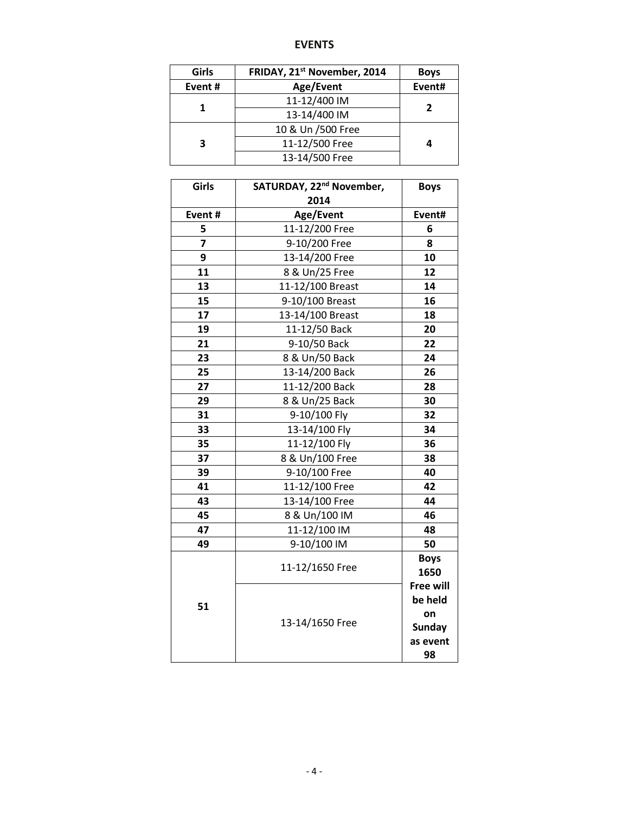# **EVENTS**

| Girls  | FRIDAY, 21 <sup>st</sup> November, 2014 | <b>Boys</b> |  |  |
|--------|-----------------------------------------|-------------|--|--|
| Event# | Age/Event                               | Event#      |  |  |
|        | 11-12/400 IM                            | 2           |  |  |
|        | 13-14/400 IM                            |             |  |  |
|        | 10 & Un /500 Free                       |             |  |  |
| 3      | 11-12/500 Free                          |             |  |  |
|        | 13-14/500 Free                          |             |  |  |

| Girls          | SATURDAY, 22 <sup>nd</sup> November, | <b>Boys</b>                 |
|----------------|--------------------------------------|-----------------------------|
|                | 2014                                 |                             |
| Event#         | Age/Event                            | Event#                      |
| 5              | 11-12/200 Free                       | 6                           |
| $\overline{z}$ | 9-10/200 Free                        | 8                           |
| 9              | 13-14/200 Free                       | 10                          |
| 11             | 8 & Un/25 Free                       | 12                          |
| 13             | 11-12/100 Breast                     | 14                          |
| 15             | 9-10/100 Breast                      | 16                          |
| 17             | 13-14/100 Breast                     | 18                          |
| 19             | 11-12/50 Back                        | 20                          |
| 21             | 9-10/50 Back                         | 22                          |
| 23             | 8 & Un/50 Back                       | 24                          |
| 25             | 13-14/200 Back                       | 26                          |
| 27             | 11-12/200 Back                       | 28                          |
| 29             | 8 & Un/25 Back                       | 30                          |
| 31             | 9-10/100 Fly                         | 32                          |
| 33             | 13-14/100 Fly                        | 34                          |
| 35             | 11-12/100 Fly                        | 36                          |
| 37             | 8 & Un/100 Free                      | 38                          |
| 39             | 9-10/100 Free                        | 40                          |
| 41             | 11-12/100 Free                       | 42                          |
| 43             | 13-14/100 Free                       | 44                          |
| 45             | 8 & Un/100 IM                        | 46                          |
| 47             | 11-12/100 IM                         | 48                          |
| 49             | 9-10/100 IM                          | 50                          |
|                | 11-12/1650 Free                      | <b>Boys</b>                 |
|                |                                      | 1650                        |
|                |                                      | <b>Free will</b><br>be held |
| 51             |                                      |                             |
|                | 13-14/1650 Free                      | on<br><b>Sunday</b>         |
|                |                                      | as event                    |
|                |                                      | 98                          |
|                |                                      |                             |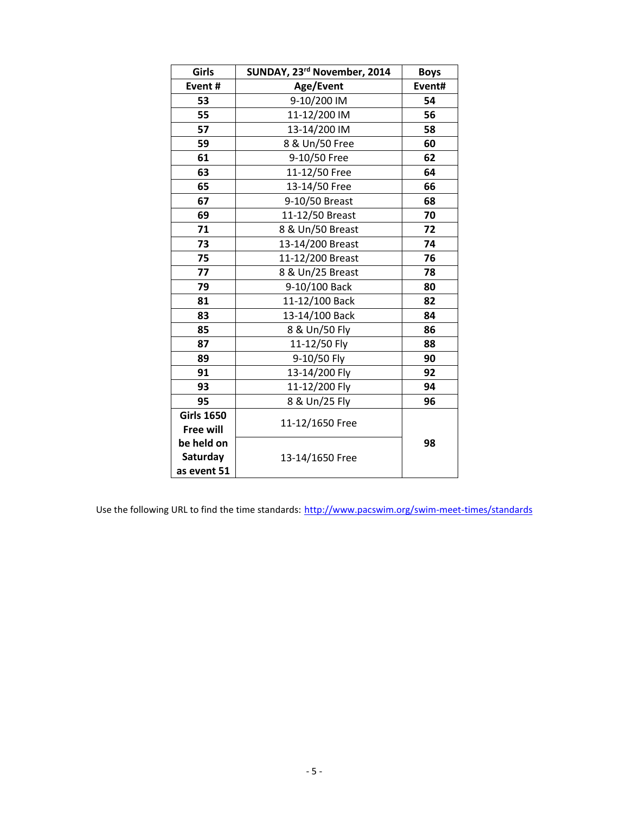| Girls                                 | SUNDAY, 23rd November, 2014 | <b>Boys</b> |
|---------------------------------------|-----------------------------|-------------|
| Event#                                | Age/Event                   | Event#      |
| 53                                    | 9-10/200 IM                 | 54          |
| 55                                    | 11-12/200 IM                | 56          |
| 57                                    | 13-14/200 IM                | 58          |
| 59                                    | 8 & Un/50 Free              | 60          |
| 61                                    | 9-10/50 Free                | 62          |
| 63                                    | 11-12/50 Free               | 64          |
| 65                                    | 13-14/50 Free               | 66          |
| 67                                    | 9-10/50 Breast              | 68          |
| 69                                    | 11-12/50 Breast             | 70          |
| 71                                    | 8 & Un/50 Breast            | 72          |
| 73                                    | 13-14/200 Breast            | 74          |
| 75                                    | 11-12/200 Breast            | 76          |
| 77                                    | 8 & Un/25 Breast            | 78          |
| 79                                    | 9-10/100 Back               | 80          |
| 81                                    | 11-12/100 Back              | 82          |
| 83                                    | 13-14/100 Back              | 84          |
| 85                                    | 8 & Un/50 Fly               | 86          |
| 87                                    | 11-12/50 Fly                | 88          |
| 89                                    | 9-10/50 Fly                 | 90          |
| 91                                    | 13-14/200 Fly               | 92          |
| 93                                    | 11-12/200 Fly               | 94          |
| 95                                    | 8 & Un/25 Fly               | 96          |
| <b>Girls 1650</b>                     | 11-12/1650 Free             |             |
| <b>Free will</b>                      |                             |             |
| be held on<br>Saturday<br>as event 51 | 13-14/1650 Free             | 98          |

Use the following URL to find the time standards: <http://www.pacswim.org/swim-meet-times/standards>